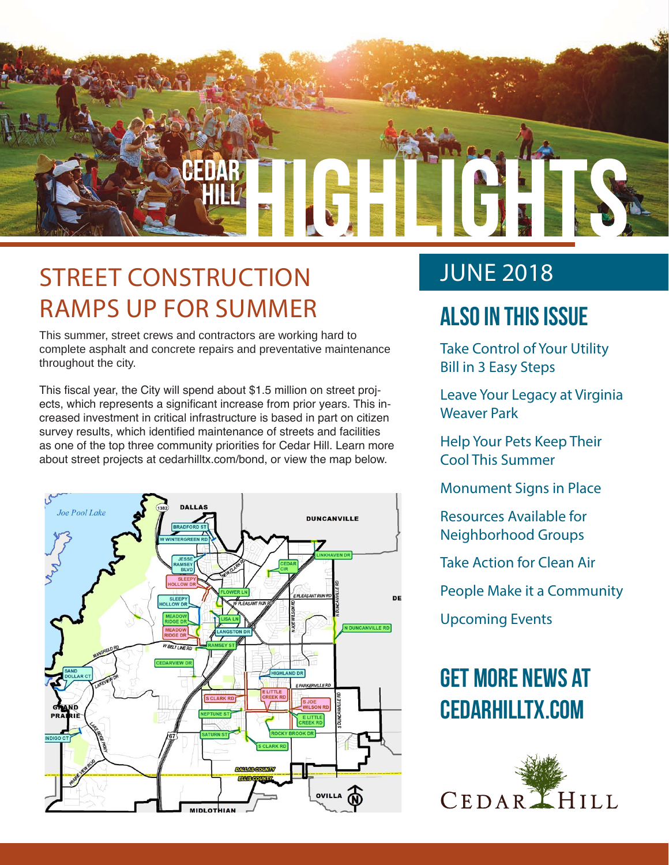

### STREET CONSTRUCTION RAMPS UP FOR SUMMER

This summer, street crews and contractors are working hard to complete asphalt and concrete repairs and preventative maintenance throughout the city.

This fiscal year, the City will spend about \$1.5 million on street projects, which represents a significant increase from prior years. This increased investment in critical infrastructure is based in part on citizen survey results, which identified maintenance of streets and facilities as one of the top three community priorities for Cedar Hill. Learn more about street projects at cedarhilltx.com/bond, or view the map below.



### JUNE 2018

### **Also In this Issue**

Take Control of Your Utility Bill in 3 Easy Steps

Leave Your Legacy at Virginia Weaver Park

Help Your Pets Keep Their Cool This Summer

Monument Signs in Place

Resources Available for Neighborhood Groups

Take Action for Clean Air

People Make it a Community

Upcoming Events

### **Get more news at cedarhilltx.com**

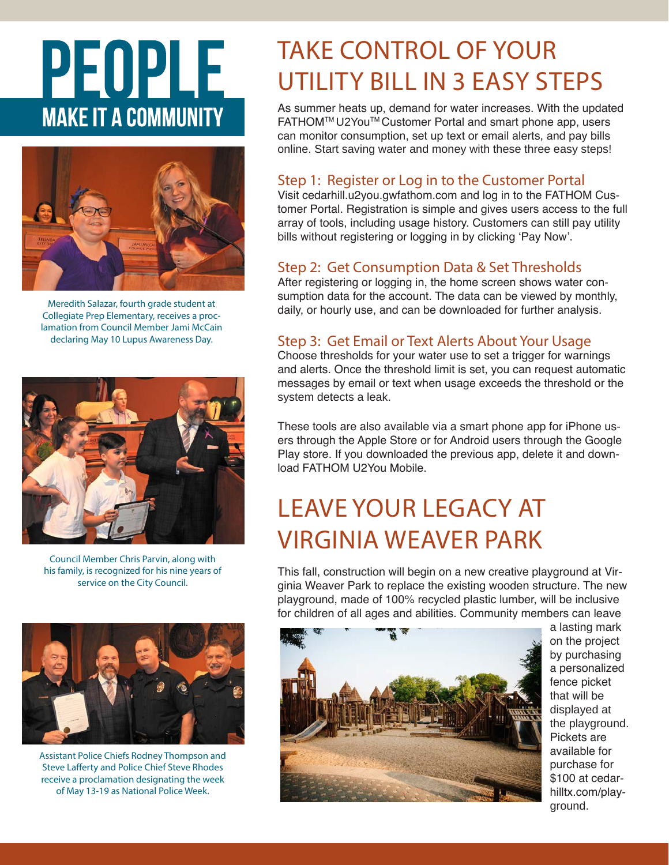# PEOPLE **MAKE IT A COMMUNITY**



Meredith Salazar, fourth grade student at Collegiate Prep Elementary, receives a proclamation from Council Member Jami McCain declaring May 10 Lupus Awareness Day.



Council Member Chris Parvin, along with his family, is recognized for his nine years of service on the City Council.



Assistant Police Chiefs Rodney Thompson and Steve Lafferty and Police Chief Steve Rhodes receive a proclamation designating the week of May 13-19 as National Police Week.

### TAKE CONTROL OF YOUR UTILITY BILL IN 3 EASY STEPS

As summer heats up, demand for water increases. With the updated FATHOM™ U2You™ Customer Portal and smart phone app, users can monitor consumption, set up text or email alerts, and pay bills online. Start saving water and money with these three easy steps!

#### Step 1: Register or Log in to the Customer Portal

Visit cedarhill.u2you.gwfathom.com and log in to the FATHOM Customer Portal. Registration is simple and gives users access to the full array of tools, including usage history. Customers can still pay utility bills without registering or logging in by clicking 'Pay Now'.

#### Step 2: Get Consumption Data & Set Thresholds

After registering or logging in, the home screen shows water consumption data for the account. The data can be viewed by monthly, daily, or hourly use, and can be downloaded for further analysis.

#### Step 3: Get Email or Text Alerts About Your Usage

Choose thresholds for your water use to set a trigger for warnings and alerts. Once the threshold limit is set, you can request automatic messages by email or text when usage exceeds the threshold or the system detects a leak.

These tools are also available via a smart phone app for iPhone users through the Apple Store or for Android users through the Google Play store. If you downloaded the previous app, delete it and download FATHOM U2You Mobile.

### LEAVE YOUR LEGACY AT VIRGINIA WEAVER PARK

This fall, construction will begin on a new creative playground at Virginia Weaver Park to replace the existing wooden structure. The new playground, made of 100% recycled plastic lumber, will be inclusive for children of all ages and abilities. Community members can leave



a lasting mark on the project by purchasing a personalized fence picket that will be displayed at the playground. Pickets are available for purchase for \$100 at cedarhilltx.com/playground.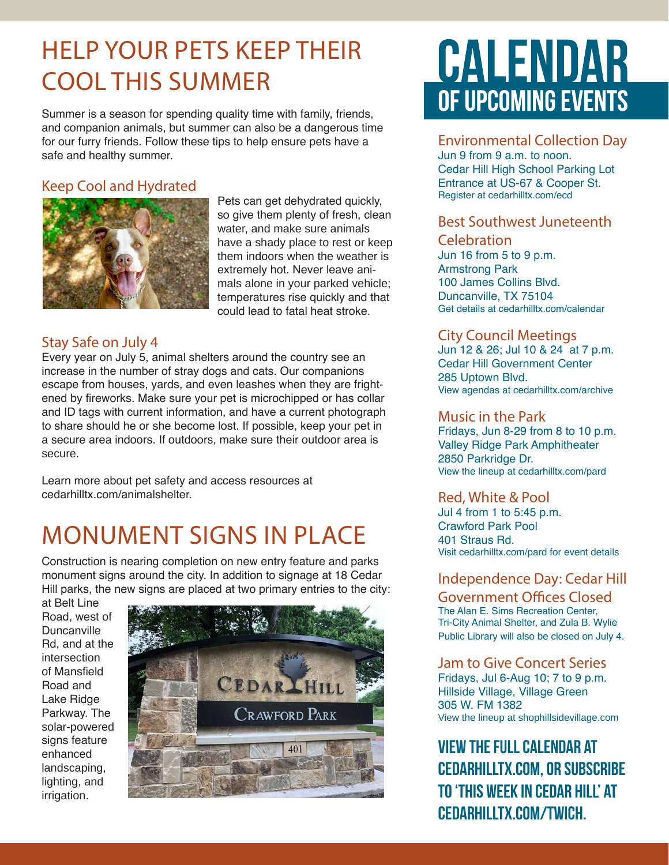### HELP YOUR PETS KEEP THEIR COOL THIS SUMMER

Summer is a season for spending quality time with family, friends, and companion animals, but summer can also be a dangerous time for our furry friends. Follow these tips to help ensure pets have a safe and healthy summer.

#### Keep Cool and Hydrated



Pets can get dehydrated quickly, so give them plenty of fresh, clean water, and make sure animals have a shady place to rest or keep them indoors when the weather is extremely hot. Never leave animals alone in your parked vehicle; temperatures rise quickly and that could lead to fatal heat stroke.

#### Stay Safe on July 4

Every year on July 5, animal shelters around the country see an increase in the number of stray dogs and cats. Our companions escape from houses, yards, and even leashes when they are frightened by fireworks. Make sure your pet is microchipped or has collar and ID tags with current information, and have a current photograph to share should he or she become lost. If possible, keep your pet in a secure area indoors. If outdoors, make sure their outdoor area is secure.

Learn more about pet safety and access resources at cedarhilltx.com/animalshelter.

### MONUMENT SIGNS IN PLACE

Construction is nearing completion on new entry feature and parks monument signs around the city. In addition to signage at 18 Cedar Hill parks, the new signs are placed at two primary entries to the city:

at Belt Line Road, west of Duncanville Rd, and at the intersection of Mansfield Road and Lake Ridge Parkway. The solar-powered signs feature enhanced landscaping, lighting, and irrigation.



## CALENDAR OF UPCOMING EVENTS

#### Environmental Collection Day

Jun 9 from 9 a.m. to noon. Cedar Hill High School Parking Lot Entrance at US-67 & Cooper St. Register at cedarhilltx.com/ecd

#### Best Southwest Juneteenth Celebration

Jun 16 from 5 to 9 p.m. Armstrong Park 100 James Collins Blvd. Duncanville, TX 75104 Get details at cedarhilltx.com/calendar

#### City Council Meetings

Jun 12 & 26; Jul 10 & 24 at 7 p.m. Cedar Hill Government Center 285 Uptown Blvd. View agendas at cedarhilltx.com/archive

#### Music in the Park

Fridays, Jun 8-29 from 8 to 10 p.m. Valley Ridge Park Amphitheater 2850 Parkridge Dr. View the lineup at cedarhilltx.com/pard

#### Red, White & Pool

Jul 4 from 1 to 5:45 p.m. Crawford Park Pool 401 Straus Rd. Visit cedarhilltx.com/pard for event details

#### Independence Day: Cedar Hill

Government Offices Closed The Alan E. Sims Recreation Center, Tri-City Animal Shelter, and Zula B. Wylie Public Library will also be closed on July 4.

#### Jam to Give Concert Series

Fridays, Jul 6-Aug 10; 7 to 9 p.m. Hillside Village, Village Green 305 W. FM 1382 View the lineup at shophillsidevillage.com

#### **View the full calendar at cedarhilltx.com, or subscribe to 'This Week in Cedar Hill' at cedarhilltx.com/twich.**